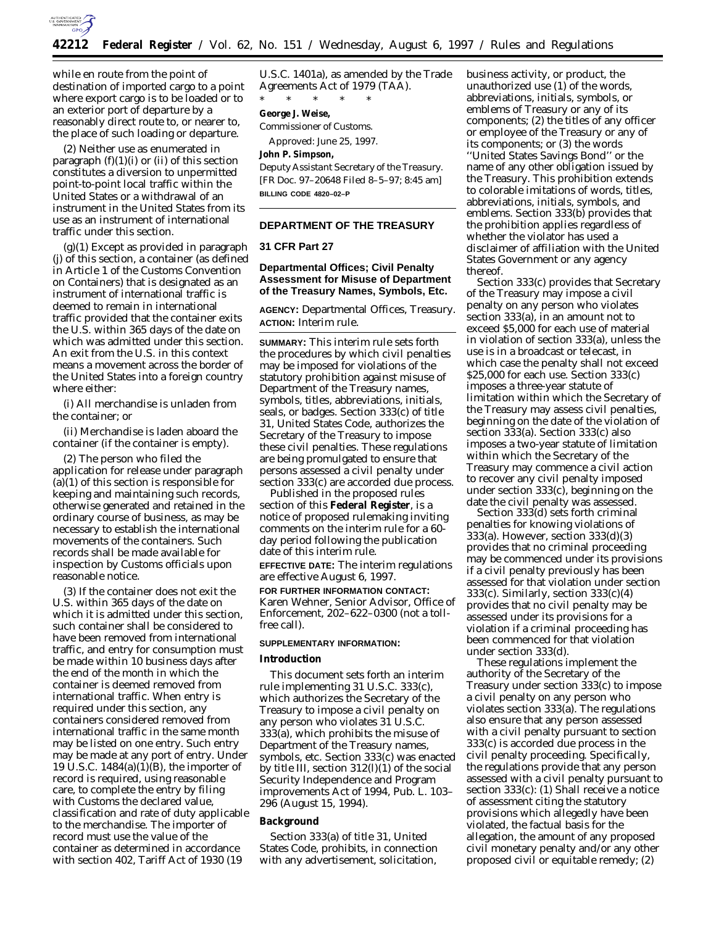

while en route from the point of destination of imported cargo to a point where export cargo is to be loaded or to an exterior port of departure by a reasonably direct route to, or nearer to, the place of such loading or departure.

(2) Neither use as enumerated in paragraph  $(f)(1)(i)$  or  $(ii)$  of this section constitutes a diversion to unpermitted point-to-point local traffic within the United States or a withdrawal of an instrument in the United States from its use as an instrument of international traffic under this section.

(g)(1) Except as provided in paragraph (j) of this section, a container (as defined in Article 1 of the Customs Convention on Containers) that is designated as an instrument of international traffic is deemed to remain in international traffic provided that the container exits the U.S. within 365 days of the date on which was admitted under this section. An exit from the U.S. in this context means a movement across the border of the United States into a foreign country where either:

(i) All merchandise is unladen from the container; or

(ii) Merchandise is laden aboard the container (if the container is empty).

(2) The person who filed the application for release under paragraph (a)(1) of this section is responsible for keeping and maintaining such records, otherwise generated and retained in the ordinary course of business, as may be necessary to establish the international movements of the containers. Such records shall be made available for inspection by Customs officials upon reasonable notice.

(3) If the container does not exit the U.S. within 365 days of the date on which it is admitted under this section, such container shall be considered to have been removed from international traffic, and entry for consumption must be made within 10 business days after the end of the month in which the container is deemed removed from international traffic. When entry is required under this section, any containers considered removed from international traffic in the same month may be listed on one entry. Such entry may be made at any port of entry. Under 19 U.S.C. 1484(a)(1)(B), the importer of record is required, using reasonable care, to complete the entry by filing with Customs the declared value, classification and rate of duty applicable to the merchandise. The importer of record must use the value of the container as determined in accordance with section 402, Tariff Act of 1930 (19

U.S.C. 1401a), as amended by the Trade Agreements Act of 1979 (TAA). \* \* \* \* \*

#### **George J. Weise,**

*Commissioner of Customs.*

Approved: June 25, 1997.

# **John P. Simpson,**

*Deputy Assistant Secretary of the Treasury.* [FR Doc. 97–20648 Filed 8–5–97; 8:45 am] **BILLING CODE 4820–02–P**

## **DEPARTMENT OF THE TREASURY**

## **31 CFR Part 27**

# **Departmental Offices; Civil Penalty Assessment for Misuse of Department of the Treasury Names, Symbols, Etc.**

**AGENCY:** Departmental Offices, Treasury. **ACTION:** Interim rule.

**SUMMARY:** This interim rule sets forth the procedures by which civil penalties may be imposed for violations of the statutory prohibition against misuse of Department of the Treasury names, symbols, titles, abbreviations, initials, seals, or badges. Section 333(c) of title 31, United States Code, authorizes the Secretary of the Treasury to impose these civil penalties. These regulations are being promulgated to ensure that persons assessed a civil penalty under section 333(c) are accorded due process.

Published in the proposed rules section of this **Federal Register**, is a notice of proposed rulemaking inviting comments on the interim rule for a 60 day period following the publication date of this interim rule.

**EFFECTIVE DATE:** The interim regulations are effective August 6, 1997.

**FOR FURTHER INFORMATION CONTACT:** Karen Wehner, Senior Advisor, Office of Enforcement, 202–622–0300 (not a tollfree call).

## **SUPPLEMENTARY INFORMATION:**

#### **Introduction**

This document sets forth an interim rule implementing 31 U.S.C. 333(c), which authorizes the Secretary of the Treasury to impose a civil penalty on any person who violates 31 U.S.C. 333(a), which prohibits the misuse of Department of the Treasury names, symbols, etc. Section 333(c) was enacted by title III, section 312(l)(1) of the social Security Independence and Program improvements Act of 1994, Pub. L. 103– 296 (August 15, 1994).

# **Background**

Section 333(a) of title 31, United States Code, prohibits, in connection with any advertisement, solicitation,

business activity, or product, the unauthorized use (1) of the words, abbreviations, initials, symbols, or emblems of Treasury or any of its components; (2) the titles of any officer or employee of the Treasury or any of its components; or (3) the words

''United States Savings Bond'' or the name of any other obligation issued by the Treasury. This prohibition extends to colorable imitations of words, titles, abbreviations, initials, symbols, and emblems. Section 333(b) provides that the prohibition applies regardless of whether the violator has used a disclaimer of affiliation with the United States Government or any agency thereof.

Section 333(c) provides that Secretary of the Treasury may impose a civil penalty on any person who violates section 333(a), in an amount not to exceed \$5,000 for each use of material in violation of section 333(a), unless the use is in a broadcast or telecast, in which case the penalty shall not exceed \$25,000 for each use. Section 333(c) imposes a three-year statute of limitation within which the Secretary of the Treasury may assess civil penalties, beginning on the date of the violation of section 333(a). Section 333(c) also imposes a two-year statute of limitation within which the Secretary of the Treasury may commence a civil action to recover any civil penalty imposed under section 333(c), beginning on the date the civil penalty was assessed.

Section 333(d) sets forth criminal penalties for knowing violations of 333(a). However, section 333(d)(3) provides that no criminal proceeding may be commenced under its provisions if a civil penalty previously has been assessed for that violation under section 333(c). Similarly, section 333(c)(4) provides that no civil penalty may be assessed under its provisions for a violation if a criminal proceeding has been commenced for that violation under section 333(d).

These regulations implement the authority of the Secretary of the Treasury under section 333(c) to impose a civil penalty on any person who violates section 333(a). The regulations also ensure that any person assessed with a civil penalty pursuant to section 333(c) is accorded due process in the civil penalty proceeding. Specifically, the regulations provide that any person assessed with a civil penalty pursuant to section 333(c): (1) Shall receive a notice of assessment citing the statutory provisions which allegedly have been violated, the factual basis for the allegation, the amount of any proposed civil monetary penalty and/or any other proposed civil or equitable remedy; (2)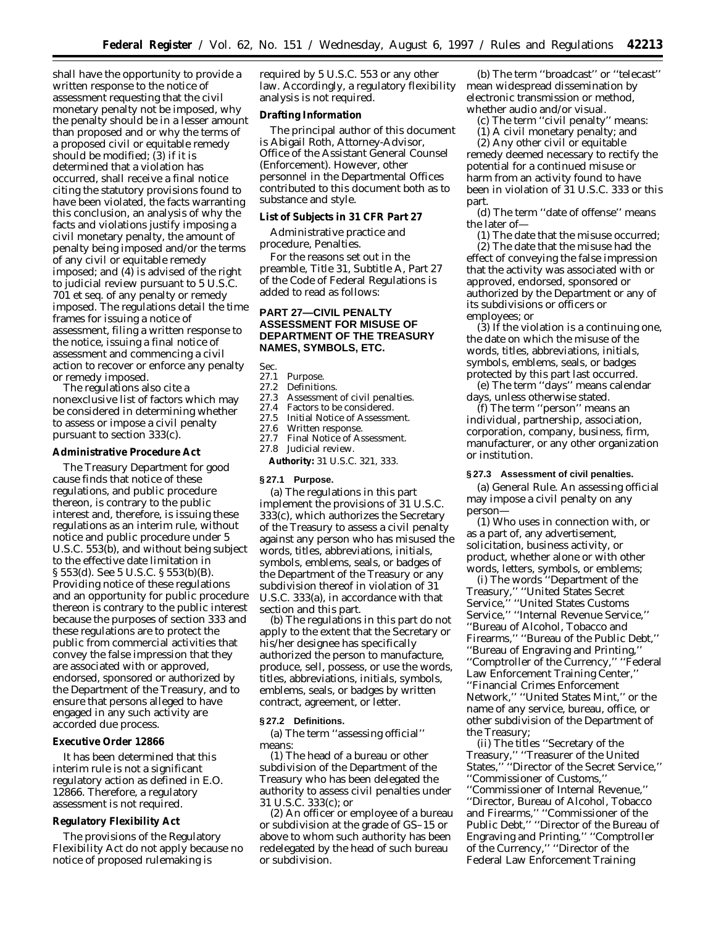shall have the opportunity to provide a written response to the notice of assessment requesting that the civil monetary penalty not be imposed, why the penalty should be in a lesser amount than proposed and or why the terms of a proposed civil or equitable remedy should be modified; (3) if it is determined that a violation has occurred, shall receive a final notice citing the statutory provisions found to have been violated, the facts warranting this conclusion, an analysis of why the facts and violations justify imposing a civil monetary penalty, the amount of penalty being imposed and/or the terms of any civil or equitable remedy imposed; and (4) is advised of the right to judicial review pursuant to 5 U.S.C. 701 et seq. of any penalty or remedy imposed. The regulations detail the time frames for issuing a notice of assessment, filing a written response to the notice, issuing a final notice of assessment and commencing a civil action to recover or enforce any penalty or remedy imposed.

The regulations also cite a nonexclusive list of factors which may be considered in determining whether to assess or impose a civil penalty pursuant to section 333(c).

#### **Administrative Procedure Act**

The Treasury Department for good cause finds that notice of these regulations, and public procedure thereon, is contrary to the public interest and, therefore, is issuing these regulations as an interim rule, without notice and public procedure under 5 U.S.C. 553(b), and without being subject to the effective date limitation in § 553(d). See 5 U.S.C. § 553(b)(B). Providing notice of these regulations and an opportunity for public procedure thereon is contrary to the public interest because the purposes of section 333 and these regulations are to protect the public from commercial activities that convey the false impression that they are associated with or approved, endorsed, sponsored or authorized by the Department of the Treasury, and to ensure that persons alleged to have engaged in any such activity are accorded due process.

#### **Executive Order 12866**

It has been determined that this interim rule is not a significant regulatory action as defined in E.O. 12866. Therefore, a regulatory assessment is not required.

## **Regulatory Flexibility Act**

The provisions of the Regulatory Flexibility Act do not apply because no notice of proposed rulemaking is

required by 5 U.S.C. 553 or any other law. Accordingly, a regulatory flexibility analysis is not required.

#### **Drafting Information**

The principal author of this document is Abigail Roth, Attorney-Advisor, Office of the Assistant General Counsel (Enforcement). However, other personnel in the Departmental Offices contributed to this document both as to substance and style.

#### **List of Subjects in 31 CFR Part 27**

Administrative practice and procedure, Penalties.

For the reasons set out in the preamble, Title 31, Subtitle A, Part 27 of the Code of Federal Regulations is added to read as follows:

# **PART 27—CIVIL PENALTY ASSESSMENT FOR MISUSE OF DEPARTMENT OF THE TREASURY NAMES, SYMBOLS, ETC.**

Sec.<br>27.1

# 27.1 Purpose.<br>27.2 Definitio

27.2 Definitions.<br>27.3 Assessment

- Assessment of civil penalties.
- 27.4 Factors to be considered.<br>27.5 Initial Notice of Assessm
- 27.5 Initial Notice of Assessment.<br>27.6 Written response.
- 27.6 Written response.<br>27.7 Final Notice of As
- Final Notice of Assessment.
- 27.8 Judicial review.
- **Authority:** 31 U.S.C. 321, 333.

#### **§ 27.1 Purpose.**

(a) The regulations in this part implement the provisions of 31 U.S.C. 333(c), which authorizes the Secretary of the Treasury to assess a civil penalty against any person who has misused the words, titles, abbreviations, initials, symbols, emblems, seals, or badges of the Department of the Treasury or any subdivision thereof in violation of 31 U.S.C. 333(a), in accordance with that section and this part.

(b) The regulations in this part do not apply to the extent that the Secretary or his/her designee has specifically authorized the person to manufacture, produce, sell, possess, or use the words, titles, abbreviations, initials, symbols, emblems, seals, or badges by written contract, agreement, or letter.

#### **§ 27.2 Definitions.**

(a) The term ''assessing official'' means:

(1) The head of a bureau or other subdivision of the Department of the Treasury who has been delegated the authority to assess civil penalties under 31 U.S.C. 333(c); or

(2) An officer or employee of a bureau or subdivision at the grade of GS–15 or above to whom such authority has been redelegated by the head of such bureau or subdivision.

(b) The term ''broadcast'' or ''telecast'' mean widespread dissemination by electronic transmission or method, whether audio and/or visual.

(c) The term ''civil penalty'' means:

(1) A civil monetary penalty; and

(2) Any other civil or equitable remedy deemed necessary to rectify the potential for a continued misuse or harm from an activity found to have been in violation of 31 U.S.C. 333 or this part.

(d) The term ''date of offense'' means the later of—

(1) The date that the misuse occurred; (2) The date that the misuse had the effect of conveying the false impression that the activity was associated with or approved, endorsed, sponsored or authorized by the Department or any of its subdivisions or officers or employees; or

(3) If the violation is a continuing one, the date on which the misuse of the words, titles, abbreviations, initials, symbols, emblems, seals, or badges protected by this part last occurred.

(e) The term ''days'' means calendar days, unless otherwise stated.

(f) The term ''person'' means an individual, partnership, association, corporation, company, business, firm, manufacturer, or any other organization or institution.

#### **§ 27.3 Assessment of civil penalties.**

(a) *General Rule.* An assessing official may impose a civil penalty on any person—

(1) Who uses in connection with, or as a part of, any advertisement, solicitation, business activity, or product, whether alone or with other words, letters, symbols, or emblems;

(i) The words ''Department of the Treasury,'' ''United States Secret Service,'' ''United States Customs Service,'' ''Internal Revenue Service,'' ''Bureau of Alcohol, Tobacco and Firearms,'' ''Bureau of the Public Debt,'' ''Bureau of Engraving and Printing,'' ''Comptroller of the Currency,'' ''Federal Law Enforcement Training Center,'' ''Financial Crimes Enforcement Network,'' ''United States Mint,'' or the name of any service, bureau, office, or other subdivision of the Department of the Treasury;

(ii) The titles ''Secretary of the Treasury,'' ''Treasurer of the United States,'' ''Director of the Secret Service,'' ''Commissioner of Customs,'' ''Commissioner of Internal Revenue,'' ''Director, Bureau of Alcohol, Tobacco and Firearms,'' ''Commissioner of the Public Debt,'' ''Director of the Bureau of Engraving and Printing,'' ''Comptroller of the Currency,'' ''Director of the Federal Law Enforcement Training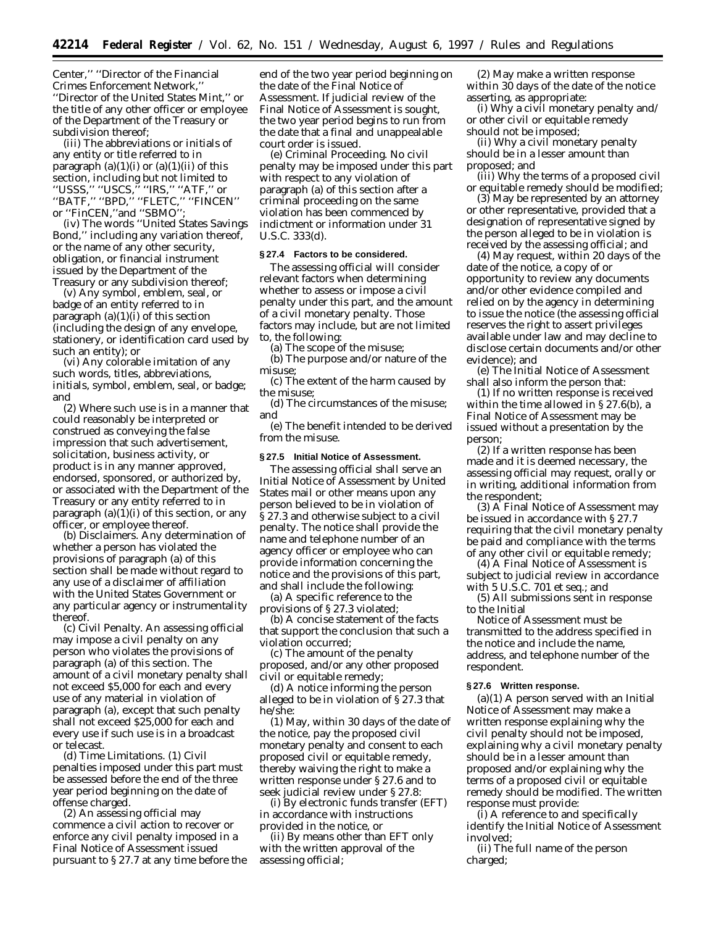Center,'' ''Director of the Financial Crimes Enforcement Network,'' ''Director of the United States Mint,'' or the title of any other officer or employee of the Department of the Treasury or subdivision thereof;

(iii) The abbreviations or initials of any entity or title referred to in paragraph  $(a)(1)(i)$  or  $(a)(1)(ii)$  of this section, including but not limited to ''USSS,'' ''USCS,'' ''IRS,'' ''ATF,'' or ''BATF,'' ''BPD,'' ''FLETC,'' ''FINCEN'' or ''FinCEN,''and ''SBMO'';

(iv) The words ''United States Savings Bond,'' including any variation thereof, or the name of any other security, obligation, or financial instrument issued by the Department of the Treasury or any subdivision thereof;

(v) Any symbol, emblem, seal, or badge of an entity referred to in paragraph  $(a)(1)(i)$  of this section (including the design of any envelope, stationery, or identification card used by such an entity); or

(vi) Any colorable imitation of any such words, titles, abbreviations, initials, symbol, emblem, seal, or badge; and

(2) Where such use is in a manner that could reasonably be interpreted or construed as conveying the false impression that such advertisement, solicitation, business activity, or product is in any manner approved, endorsed, sponsored, or authorized by, or associated with the Department of the Treasury or any entity referred to in paragraph  $(a)(1)(i)$  of this section, or any officer, or employee thereof.

(b) *Disclaimers.* Any determination of whether a person has violated the provisions of paragraph (a) of this section shall be made without regard to any use of a disclaimer of affiliation with the United States Government or any particular agency or instrumentality thereof.

(c) *Civil Penalty.* An assessing official may impose a civil penalty on any person who violates the provisions of paragraph (a) of this section. The amount of a civil monetary penalty shall not exceed \$5,000 for each and every use of any material in violation of paragraph (a), except that such penalty shall not exceed \$25,000 for each and every use if such use is in a broadcast or telecast.

(d) *Time Limitations.* (1) Civil penalties imposed under this part must be assessed before the end of the three year period beginning on the date of offense charged.

(2) An assessing official may commence a civil action to recover or enforce any civil penalty imposed in a Final Notice of Assessment issued pursuant to § 27.7 at any time before the

end of the two year period beginning on the date of the Final Notice of Assessment. If judicial review of the Final Notice of Assessment is sought, the two year period begins to run from the date that a final and unappealable court order is issued.

(e) *Criminal Proceeding.* No civil penalty may be imposed under this part with respect to any violation of paragraph (a) of this section after a criminal proceeding on the same violation has been commenced by indictment or information under 31 U.S.C. 333(d).

#### **§ 27.4 Factors to be considered.**

The assessing official will consider relevant factors when determining whether to assess or impose a civil penalty under this part, and the amount of a civil monetary penalty. Those factors may include, but are not limited to, the following:

(a) The scope of the misuse;

(b) The purpose and/or nature of the misuse;

(c) The extent of the harm caused by the misuse;

(d) The circumstances of the misuse; and

(e) The benefit intended to be derived from the misuse.

## **§ 27.5 Initial Notice of Assessment.**

The assessing official shall serve an Initial Notice of Assessment by United States mail or other means upon any person believed to be in violation of § 27.3 and otherwise subject to a civil penalty. The notice shall provide the name and telephone number of an agency officer or employee who can provide information concerning the notice and the provisions of this part, and shall include the following:

(a) A specific reference to the provisions of § 27.3 violated;

(b) A concise statement of the facts that support the conclusion that such a violation occurred;

(c) The amount of the penalty proposed, and/or any other proposed civil or equitable remedy;

(d) A notice informing the person alleged to be in violation of § 27.3 that he/she:

(1) May, within 30 days of the date of the notice, pay the proposed civil monetary penalty and consent to each proposed civil or equitable remedy, thereby waiving the right to make a written response under § 27.6 and to seek judicial review under § 27.8:

(i) By electronic funds transfer (EFT) in accordance with instructions provided in the notice, or

(ii) By means other than EFT only with the written approval of the assessing official;

(2) May make a written response within 30 days of the date of the notice asserting, as appropriate:

(i) Why a civil monetary penalty and/ or other civil or equitable remedy should not be imposed;

(ii) Why a civil monetary penalty should be in a lesser amount than proposed; and

(iii) Why the terms of a proposed civil or equitable remedy should be modified;

(3) May be represented by an attorney or other representative, provided that a designation of representative signed by the person alleged to be in violation is received by the assessing official; and

(4) May request, within 20 days of the date of the notice, a copy of or opportunity to review any documents and/or other evidence compiled and relied on by the agency in determining to issue the notice (the assessing official reserves the right to assert privileges available under law and may decline to disclose certain documents and/or other evidence); and

(e) The Initial Notice of Assessment shall also inform the person that:

(1) If no written response is received within the time allowed in § 27.6(b), a Final Notice of Assessment may be issued without a presentation by the person;

(2) If a written response has been made and it is deemed necessary, the assessing official may request, orally or in writing, additional information from the respondent;

(3) A Final Notice of Assessment may be issued in accordance with § 27.7 requiring that the civil monetary penalty be paid and compliance with the terms of any other civil or equitable remedy;

(4) A Final Notice of Assessment is subject to judicial review in accordance with 5 U.S.C. 701 *et seq.*; and

(5) All submissions sent in response to the Initial

Notice of Assessment must be transmitted to the address specified in the notice and include the name, address, and telephone number of the respondent.

## **§ 27.6 Written response.**

 $(a)(1)$  A person served with an Initial Notice of Assessment may make a written response explaining why the civil penalty should not be imposed, explaining why a civil monetary penalty should be in a lesser amount than proposed and/or explaining why the terms of a proposed civil or equitable remedy should be modified. The written response must provide:

(i) A reference to and specifically identify the Initial Notice of Assessment involved;

(ii) The full name of the person charged;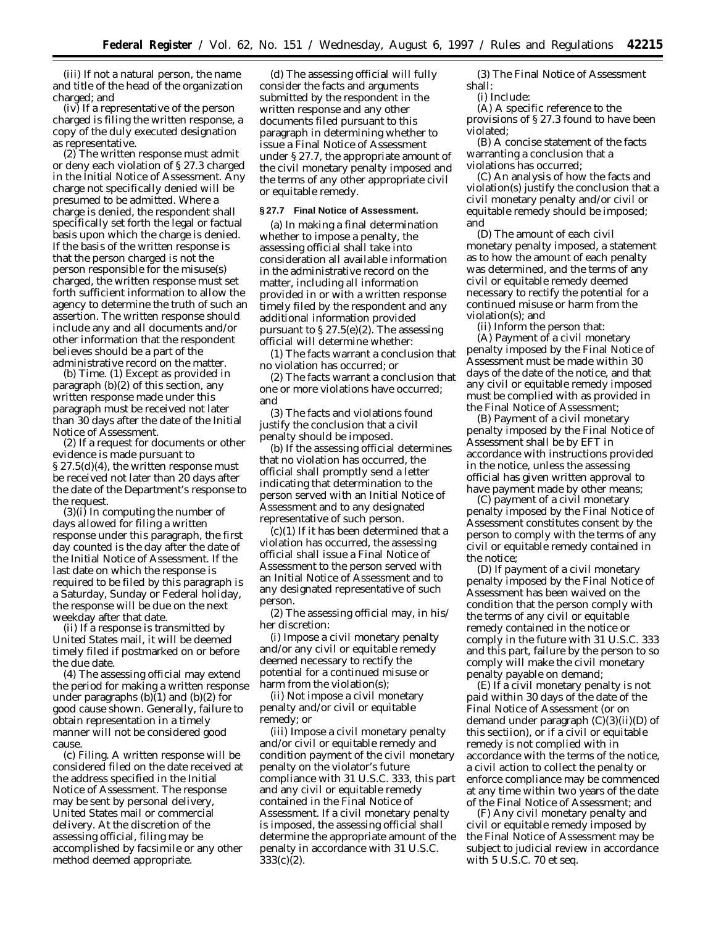(iii) If not a natural person, the name and title of the head of the organization charged; and

(iv) If a representative of the person charged is filing the written response, a copy of the duly executed designation as representative.

(2) The written response must admit or deny each violation of § 27.3 charged in the Initial Notice of Assessment. Any charge not specifically denied will be presumed to be admitted. Where a charge is denied, the respondent shall specifically set forth the legal or factual basis upon which the charge is denied. If the basis of the written response is that the person charged is not the person responsible for the misuse(s) charged, the written response must set forth sufficient information to allow the agency to determine the truth of such an assertion. The written response should include any and all documents and/or other information that the respondent believes should be a part of the administrative record on the matter.

(b) *Time.* (1) Except as provided in paragraph (b)(2) of this section, any written response made under this paragraph must be received not later than 30 days after the date of the Initial Notice of Assessment.

(2) If a request for documents or other evidence is made pursuant to § 27.5(d)(4), the written response must be received not later than 20 days after the date of the Department's response to the request.

(3)(i) In computing the number of days allowed for filing a written response under this paragraph, the first day counted is the day after the date of the Initial Notice of Assessment. If the last date on which the response is required to be filed by this paragraph is a Saturday, Sunday or Federal holiday, the response will be due on the next weekday after that date.

(ii) If a response is transmitted by United States mail, it will be deemed timely filed if postmarked on or before the due date.

(4) The assessing official may extend the period for making a written response under paragraphs  $(b)(1)$  and  $(b)(2)$  for good cause shown. Generally, failure to obtain representation in a timely manner will not be considered good cause.

(c) *Filing.* A written response will be considered filed on the date received at the address specified in the Initial Notice of Assessment. The response may be sent by personal delivery, United States mail or commercial delivery. At the discretion of the assessing official, filing may be accomplished by facsimile or any other method deemed appropriate.

(d) The assessing official will fully consider the facts and arguments submitted by the respondent in the written response and any other documents filed pursuant to this paragraph in determining whether to issue a Final Notice of Assessment under § 27.7, the appropriate amount of the civil monetary penalty imposed and the terms of any other appropriate civil or equitable remedy.

#### **§ 27.7 Final Notice of Assessment.**

(a) In making a final determination whether to impose a penalty, the assessing official shall take into consideration all available information in the administrative record on the matter, including all information provided in or with a written response timely filed by the respondent and any additional information provided pursuant to  $\S 27.5(e)(2)$ . The assessing official will determine whether:

(1) The facts warrant a conclusion that no violation has occurred; or

(2) The facts warrant a conclusion that one or more violations have occurred; and

(3) The facts and violations found justify the conclusion that a civil penalty should be imposed.

(b) If the assessing official determines that no violation has occurred, the official shall promptly send a letter indicating that determination to the person served with an Initial Notice of Assessment and to any designated representative of such person.

(c)(1) If it has been determined that a violation has occurred, the assessing official shall issue a Final Notice of Assessment to the person served with an Initial Notice of Assessment and to any designated representative of such person.

(2) The assessing official may, in his/ her discretion:

(i) Impose a civil monetary penalty and/or any civil or equitable remedy deemed necessary to rectify the potential for a continued misuse or harm from the violation(s);

(ii) Not impose a civil monetary penalty and/or civil or equitable remedy; or

(iii) Impose a civil monetary penalty and/or civil or equitable remedy and condition payment of the civil monetary penalty on the violator's future compliance with 31 U.S.C. 333, this part and any civil or equitable remedy contained in the Final Notice of Assessment. If a civil monetary penalty is imposed, the assessing official shall determine the appropriate amount of the penalty in accordance with 31 U.S.C. 333(c)(2).

(3) The Final Notice of Assessment shall:

(i) Include:

(A) A specific reference to the provisions of § 27.3 found to have been violated;

(B) A concise statement of the facts warranting a conclusion that a violations has occurred;

(C) An analysis of how the facts and violation(s) justify the conclusion that a civil monetary penalty and/or civil or equitable remedy should be imposed; and

(D) The amount of each civil monetary penalty imposed, a statement as to how the amount of each penalty was determined, and the terms of any civil or equitable remedy deemed necessary to rectify the potential for a continued misuse or harm from the violation(s); and

(ii) Inform the person that:

(A) Payment of a civil monetary penalty imposed by the Final Notice of Assessment must be made within 30 days of the date of the notice, and that any civil or equitable remedy imposed must be complied with as provided in the Final Notice of Assessment;

(B) Payment of a civil monetary penalty imposed by the Final Notice of Assessment shall be by EFT in accordance with instructions provided in the notice, unless the assessing official has given written approval to have payment made by other means;

(C) payment of a civil monetary penalty imposed by the Final Notice of Assessment constitutes consent by the person to comply with the terms of any civil or equitable remedy contained in the notice;

(D) If payment of a civil monetary penalty imposed by the Final Notice of Assessment has been waived on the condition that the person comply with the terms of any civil or equitable remedy contained in the notice or comply in the future with 31 U.S.C. 333 and this part, failure by the person to so comply will make the civil monetary penalty payable on demand;

(E) If a civil monetary penalty is not paid within 30 days of the date of the Final Notice of Assessment (or on demand under paragraph (C)(3)(ii)(D) of this sectiion), or if a civil or equitable remedy is not complied with in accordance with the terms of the notice, a civil action to collect the penalty or enforce compliance may be commenced at any time within two years of the date of the Final Notice of Assessment; and

(F) Any civil monetary penalty and civil or equitable remedy imposed by the Final Notice of Assessment may be subject to judicial review in accordance with 5 U.S.C. 70 et seq.